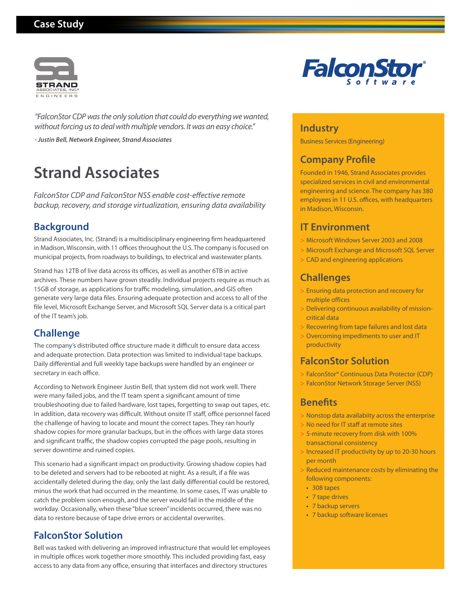# **Case Study**



*"FalconStor CDP was the only solution that could do everything we wanted, without forcing us to deal with multiple vendors. It was an easy choice."* 

*- Justin Bell, Network Engineer, Strand Associates*

# **Strand Associates**

*FalconStor CDP and FalconStor NSS enable cost-effective remote backup, recovery, and storage virtualization, ensuring data availability* 

# **Background**

Strand Associates, Inc. (Strand) is a multidisciplinary engineering firm headquartered in Madison, Wisconsin, with 11 offices throughout the U.S. The company is focused on municipal projects, from roadways to buildings, to electrical and wastewater plants.

Strand has 12TB of live data across its offices, as well as another 6TB in active archives. These numbers have grown steadily. Individual projects require as much as 15GB of storage, as applications for traffic modeling, simulation, and GIS often generate very large data files. Ensuring adequate protection and access to all of the file level, Microsoft Exchange Server, and Microsoft SQL Server data is a critical part of the IT team's job.

# **Challenge**

The company's distributed office structure made it difficult to ensure data access and adequate protection. Data protection was limited to individual tape backups. Daily differential and full weekly tape backups were handled by an engineer or secretary in each office.

According to Network Engineer Justin Bell, that system did not work well. There were many failed jobs, and the IT team spent a significant amount of time troubleshooting due to failed hardware, lost tapes, forgetting to swap out tapes, etc. In addition, data recovery was difficult. Without onsite IT staff, office personnel faced the challenge of having to locate and mount the correct tapes. They ran hourly shadow copies for more granular backups, but in the offices with large data stores and significant traffic, the shadow copies corrupted the page pools, resulting in server downtime and ruined copies.

This scenario had a significant impact on productivity. Growing shadow copies had to be deleted and servers had to be rebooted at night. As a result, if a file was accidentally deleted during the day, only the last daily differential could be restored, minus the work that had occurred in the meantime. In some cases, IT was unable to catch the problem soon enough, and the server would fail in the middle of the workday. Occasionally, when these "blue screen" incidents occurred, there was no data to restore because of tape drive errors or accidental overwrites.

# **FalconStor Solution**

Bell was tasked with delivering an improved infrastructure that would let employees in multiple offices work together more smoothly. This included providing fast, easy access to any data from any office, ensuring that interfaces and directory structures



#### **Industry**

Business Services (Engineering)

# **Company Profile**

Founded in 1946, Strand Associates provides specialized services in civil and environmental engineering and science. The company has 380 employees in 11 U.S. offices, with headquarters in Madison, Wisconsin.

### **IT Environment**

- Microsoft Windows Server 2003 and 2008 >
- Microsoft Exchange and Microsoft SQL Server >
- CAD and engineering applications >

## **Challenges**

- Ensuring data protection and recovery for > multiple offices
- Delivering continuous availability of missioncritical data >
- > Recovering from tape failures and lost data
- Overcoming impediments to user and IT > productivity

# **FalconStor Solution**

- FalconStor® Continuous Data Protector (CDP) >
- FalconStor Network Storage Server (NSS) >

#### **Benefits**

- > Nonstop data availabiity across the enterprise
- No need for IT staff at remote sites >
- 5-minute recovery from disk with 100% > transactional consistency
- > Increased IT productivity by up to 20-30 hours per month
- Reduced maintenance costs by eliminating the following components: >
	- 308 tapes •
	- 7 tape drives
	- 7 backup servers
- 7 backup software licenses